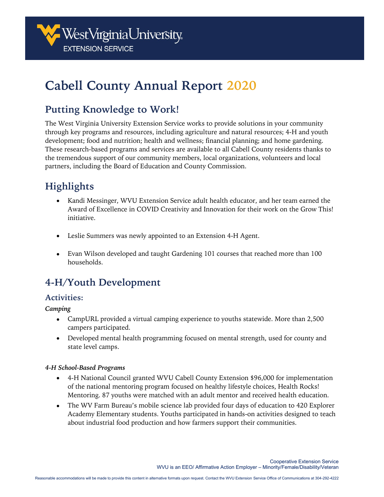

# **Cabell County Annual Report 2020**

## **Putting Knowledge to Work!**

The West Virginia University Extension Service works to provide solutions in your community through key programs and resources, including agriculture and natural resources; 4-H and youth development; food and nutrition; health and wellness; financial planning; and home gardening. These research-based programs and services are available to all Cabell County residents thanks to the tremendous support of our community members, local organizations, volunteers and local partners, including the Board of Education and County Commission.

## **Highlights**

- Kandi Messinger, WVU Extension Service adult health educator, and her team earned the Award of Excellence in COVID Creativity and Innovation for their work on the Grow This! initiative.
- Leslie Summers was newly appointed to an Extension 4-H Agent.
- Evan Wilson developed and taught Gardening 101 courses that reached more than 100 households.

## **4-H/Youth Development**

#### **Activities:**

*Camping*

- CampURL provided a virtual camping experience to youths statewide. More than 2,500 campers participated.
- Developed mental health programming focused on mental strength, used for county and state level camps.

#### *4-H School-Based Programs*

- 4-H National Council granted WVU Cabell County Extension \$96,000 for implementation of the national mentoring program focused on healthy lifestyle choices, Health Rocks! Mentoring. 87 youths were matched with an adult mentor and received health education.
- The WV Farm Bureau's mobile science lab provided four days of education to 420 Explorer Academy Elementary students. Youths participated in hands-on activities designed to teach about industrial food production and how farmers support their communities.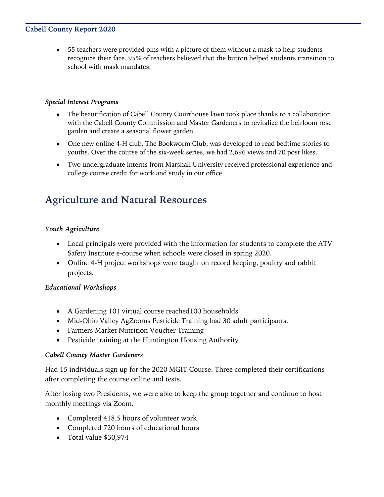#### **Cabell County Report 2020**

• 55 teachers were provided pins with a picture of them without a mask to help students recognize their face. 95% of teachers believed that the button helped students transition to school with mask mandates.

#### *Special Interest Programs*

- The beautification of Cabell County Courthouse lawn took place thanks to a collaboration with the Cabell County Commission and Master Gardeners to revitalize the heirloom rose garden and create a seasonal flower garden.
- One new online 4-H club, The Bookworm Club, was developed to read bedtime stories to youths. Over the course of the six-week series, we had 2,696 views and 70 post likes.
- Two undergraduate interns from Marshall University received professional experience and college course credit for work and study in our office.

## **Agriculture and Natural Resources**

#### *Youth Agriculture*

- Local principals were provided with the information for students to complete the ATV Safety Institute e-course when schools were closed in spring 2020.
- Online 4-H project workshops were taught on record keeping, poultry and rabbit projects.

#### *Educational Workshops*

- A Gardening 101 virtual course reached100 households.
- Mid-Ohio Valley AgZooms Pesticide Training had 30 adult participants.
- Farmers Market Nutrition Voucher Training
- Pesticide training at the Huntington Housing Authority

#### *Cabell County Master Gardeners*

Had 15 individuals sign up for the 2020 MGIT Course. Three completed their certifications after completing the course online and tests.

After losing two Presidents, we were able to keep the group together and continue to host monthly meetings via Zoom.

- Completed 418.5 hours of volunteer work
- Completed 720 hours of educational hours
- Total value \$30,974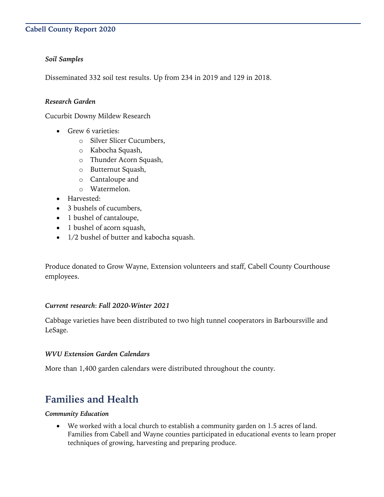#### **Cabell County Report 2020**

#### *Soil Samples*

Disseminated 332 soil test results. Up from 234 in 2019 and 129 in 2018.

#### *Research Garden*

Cucurbit Downy Mildew Research

- Grew 6 varieties:
	- o Silver Slicer Cucumbers,
	- o Kabocha Squash,
	- o Thunder Acorn Squash,
	- o Butternut Squash,
	- o Cantaloupe and
	- o Watermelon.
- Harvested:
- 3 bushels of cucumbers,
- 1 bushel of cantaloupe,
- 1 bushel of acorn squash,
- 1/2 bushel of butter and kabocha squash.

Produce donated to Grow Wayne, Extension volunteers and staff, Cabell County Courthouse employees.

#### *Current research*: *Fall 2020-Winter 2021*

Cabbage varieties have been distributed to two high tunnel cooperators in Barboursville and LeSage.

#### *WVU Extension Garden Calendars*

More than 1,400 garden calendars were distributed throughout the county.

### **Families and Health**

#### *Community Education*

• We worked with a local church to establish a community garden on 1.5 acres of land. Families from Cabell and Wayne counties participated in educational events to learn proper techniques of growing, harvesting and preparing produce.